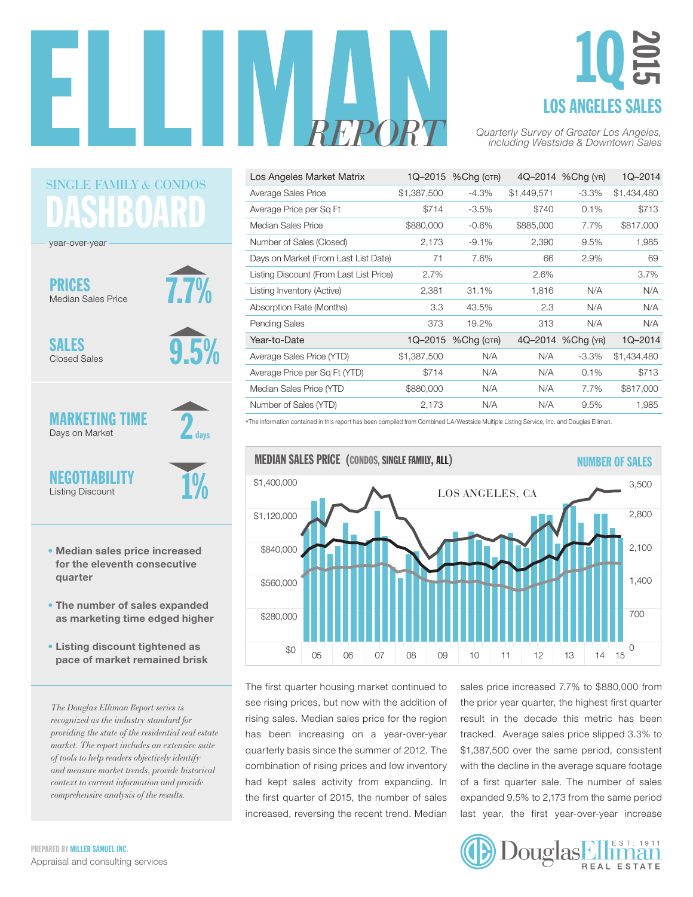

# LOS ANGELES SALES 1Q 2015

| Los Angeles Market Matrix               |             | 1Q-2015 % Chg (QTR) |             | 4Q-2014 %Chg (YR) | 1Q-2014     |
|-----------------------------------------|-------------|---------------------|-------------|-------------------|-------------|
| Average Sales Price                     | \$1,387,500 | $-4.3\%$            | \$1,449,571 | $-3.3\%$          | \$1,434,480 |
| Average Price per Sq Ft                 | \$714       | $-3.5%$             | \$740       | 0.1%              | \$713       |
| Median Sales Price                      | \$880,000   | $-0.6%$             | \$885,000   | 7.7%              | \$817,000   |
| Number of Sales (Closed)                | 2,173       | $-9.1%$             | 2,390       | 9.5%              | 1,985       |
| Days on Market (From Last List Date)    | 71          | 7.6%                | 66          | 2.9%              | 69          |
| Listing Discount (From Last List Price) | 2.7%        |                     | 2.6%        |                   | 3.7%        |
| Listing Inventory (Active)              | 2,381       | 31.1%               | 1,816       | N/A               | N/A         |
| Absorption Rate (Months)                | 3.3         | 43.5%               | 2.3         | N/A               | N/A         |
| <b>Pending Sales</b>                    | 373         | 19.2%               | 313         | N/A               | N/A         |
| Year-to-Date                            | $1Q - 2015$ | $%$ Cha ( $QTR$ )   |             | 4Q-2014 %Chg (YR) | 1Q-2014     |
| Average Sales Price (YTD)               | \$1,387,500 | N/A                 | N/A         | $-3.3\%$          | \$1,434,480 |
| Average Price per Sq Ft (YTD)           | \$714       | N/A                 | N/A         | 0.1%              | \$713       |
| Median Sales Price (YTD                 | \$880,000   | N/A                 | N/A         | 7.7%              | \$817,000   |
| Number of Sales (YTD)                   | 2,173       | N/A                 | N/A         | 9.5%              | 1.985       |

\*The information contained in this report has been compiled from Combined LA/Westside Multiple Listing Service, Inc. and Douglas Elliman.



The first quarter housing market continued to see rising prices, but now with the addition of rising sales. Median sales price for the region nang amaan maan amaa production oo egen.<br>has been increasing on a year-over-year quarterly basis since the summer of 2012. The combination of rising prices and low inventory had kept sales activity from expanding. In the first quarter of 2015, the number of sales increased, reversing the recent trend. Median  $\mathfrak{a}$ 

sales price increased 7.7% to \$880,000 from the prior year quarter, the highest first quarter on result in the decade this metric has been tracked. Average sales price slipped 3.3% to \$1,387,500 over the same period, consistent with the decline in the average square footage of a first quarter sale. The number of sales expanded 9.5% to 2,173 from the same period end. Median last year, the first year-over-year increase , 90<br>1



DASHBOARI SINGLE FAMILY *&* CONDOS

year-over-year

PRICES Median Sales Price



SALES Closed Sales 9.5%

1%

 $2$  days

MARKETING TIME Days on Market

**NEGOTIABILITY** Listing Discount

- Median sales price increased for the eleventh consecutive quarter
- The number of sales expanded as marketing time edged higher
- Listing discount tightened as pace of market remained brisk

*The Douglas Elliman Report series is recognized as the industry standard for providing the state of the residential real estate market. The report includes an extensive suite of tools to help readers objectively identify and measure market trends, provide historical context to current information and provide comprehensive analysis of the results.*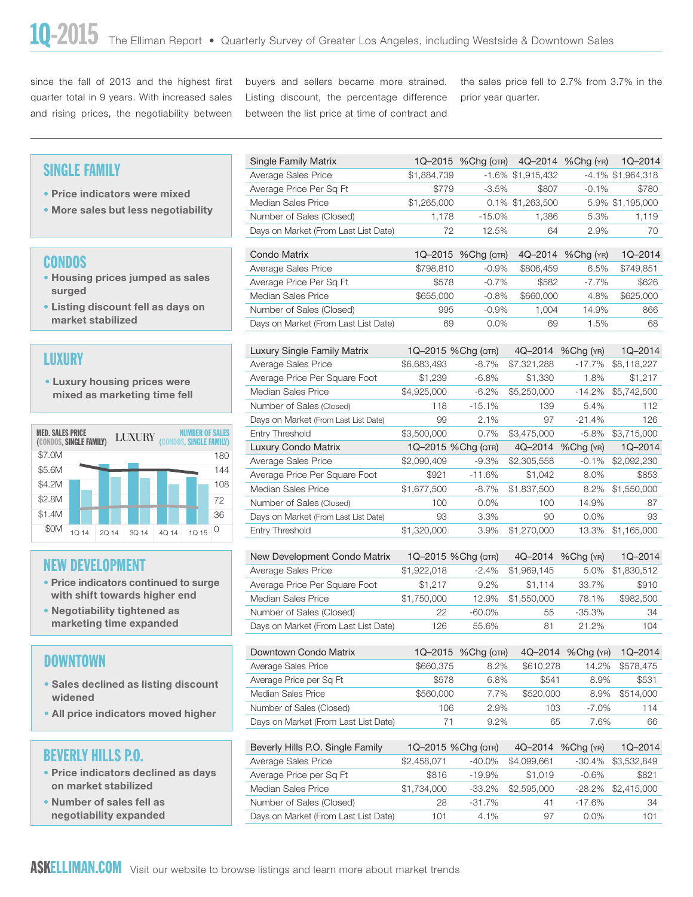since the fall of 2013 and the highest first quarter total in 9 years. With increased sales and rising prices, the negotiability between buyers and sellers became more strained. Listing discount, the percentage difference between the list price at time of contract and

the sales price fell to 2.7% from 3.7% in the prior year quarter.

#### SINGLE FAMILY

- Price indicators were mixed
- More sales but less negotiability

#### **CONDOS**

- Housing prices jumped as sales surged
- Listing discount fell as days on market stabilized

## LUXURY



## NEW DEVELOPMENT

- Price indicators continued to surge with shift towards higher end
- Negotiability tightened as marketing time expanded

## DOWNTOWN

- Sales declined as listing discount widened
- All price indicators moved higher

## BEVERLY HILLS P.O.

- Price indicators declined as days on market stabilized
- Number of sales fell as negotiability expanded

| Single Family Matrix                 |              |          |                                                                    |                                           | $1Q - 2014$                                                                        |
|--------------------------------------|--------------|----------|--------------------------------------------------------------------|-------------------------------------------|------------------------------------------------------------------------------------|
| Average Sales Price                  | \$1,884,739  |          |                                                                    |                                           | -4.1% \$1,964,318                                                                  |
| Average Price Per Sq Ft              | \$779        |          | \$807                                                              | $-0.1\%$                                  | \$780                                                                              |
| Median Sales Price                   | \$1,265,000  |          |                                                                    |                                           | 5.9% \$1,195,000                                                                   |
| Number of Sales (Closed)             |              | $-15.0%$ | 1,386                                                              | 5.3%                                      | 1,119                                                                              |
| Days on Market (From Last List Date) | 72           | 12.5%    | 64                                                                 | 2.9%                                      | 70                                                                                 |
|                                      |              |          |                                                                    |                                           |                                                                                    |
|                                      |              |          |                                                                    |                                           | $1Q - 2014$                                                                        |
| Average Sales Price                  |              |          | \$806,459                                                          | 6.5%                                      | \$749.851                                                                          |
| Average Price Per Sq Ft              | \$578        | $-0.7%$  | \$582                                                              | $-7.7\%$                                  | \$626                                                                              |
| Median Sales Price                   |              |          | \$660,000                                                          | 4.8%                                      | \$625,000                                                                          |
|                                      | 995          | $-0.9\%$ | 1.004                                                              | 14.9%                                     | 866                                                                                |
| Number of Sales (Closed)             |              |          |                                                                    |                                           |                                                                                    |
|                                      | Condo Matrix |          | $-3.5\%$<br>1.178<br>\$798,810<br>$-0.9\%$<br>\$655,000<br>$-0.8%$ | 1Q-2015 % Chg (QTR)<br>1Q-2015 %Chg (QTR) | 4Q-2014 %Chg (YR)<br>$-1.6\%$ \$1,915,432<br>0.1% \$1,263,500<br>4Q-2014 %Chg (YR) |

|                                                   | Luxury Single Family Matrix          |             | 1Q-2015 %Chg (QTR) | 4Q-2014     | %Chg (YR)         | $1Q - 2014$ |
|---------------------------------------------------|--------------------------------------|-------------|--------------------|-------------|-------------------|-------------|
| LUXURY                                            | Average Sales Price                  | \$6,683,493 | $-8.7\%$           | \$7,321,288 | $-17.7\%$         | \$8,118,227 |
| • Luxury housing prices were                      | Average Price Per Square Foot        | \$1,239     | $-6.8\%$           | \$1,330     | 1.8%              | \$1,217     |
| mixed as marketing time fell                      | <b>Median Sales Price</b>            | \$4,925,000 | $-6.2%$            | \$5,250,000 | $-14.2\%$         | \$5,742,500 |
|                                                   | Number of Sales (Closed)             | 118         | $-15.1%$           | 139         | 5.4%              | 112         |
|                                                   | Days on Market (From Last List Date) | 99          | 2.1%               | 97          | $-21.4%$          | 126         |
| <b>MED. SALES PRICE</b><br><b>LUXURY</b>          | Entry Threshold                      | \$3,500,000 | 0.7%               | \$3,475,000 | $-5.8\%$          | \$3,715,000 |
| (CONDOS, SINGLE FAMILY)<br>(CONDOS. SINGLE FAMILY | <b>Luxury Condo Matrix</b>           |             | 1Q-2015 %Chg (QTR) |             | 4Q-2014 %Chg (YR) | $1Q - 2014$ |
|                                                   |                                      |             |                    |             |                   |             |
| \$7.0M<br>180                                     | Average Sales Price                  | \$2,090,409 | $-9.3%$            | \$2,305,558 | $-0.1%$           | \$2,092,230 |
| \$5.6M<br>144                                     | Average Price Per Square Foot        | \$921       | $-11.6%$           | \$1,042     | 8.0%              | \$853       |
| \$4.2M<br>108                                     | <b>Median Sales Price</b>            | \$1,677,500 | $-8.7\%$           | \$1,837,500 | 8.2%              | \$1,550,000 |
| \$2.8M<br>72                                      | Number of Sales (Closed)             | 100         | $0.0\%$            | 100         | 14.9%             | 87          |
| \$1.4M<br>36                                      | Days on Market (From Last List Date) | 93          | 3.3%               | 90          | $0.0\%$           | 93          |

| New Development Condo Matrix         |             | 1Q-2015 %Chg (QTR) |             | 4Q-2014 %Chg (YR) | $1Q - 2014$ |
|--------------------------------------|-------------|--------------------|-------------|-------------------|-------------|
| Average Sales Price                  | \$1,922,018 | $-2.4%$            | \$1,969,145 | 5.0%              | \$1,830,512 |
| Average Price Per Square Foot        | \$1.217     | $9.2\%$            | \$1.114     | 33.7%             | \$910       |
| Median Sales Price                   | \$1,750,000 | 12.9%              | \$1,550,000 | 78.1%             | \$982,500   |
| Number of Sales (Closed)             | 22          | $-60.0\%$          | 55          | $-35.3\%$         | 34          |
| Days on Market (From Last List Date) | 126         | 55.6%              | 81          | 21.2%             | 104         |

| Downtown Condo Matrix                |           | 1Q-2015 %Chg (QTR) | 4Q-2014   | $%$ Chg $(r_R)$ | $1Q - 2014$ |
|--------------------------------------|-----------|--------------------|-----------|-----------------|-------------|
| Average Sales Price                  | \$660,375 | 8.2%               | \$610,278 | 14.2%           | \$578,475   |
| Average Price per Sq Ft              | \$578     | 6.8%               | \$541     | 8.9%            | \$531       |
| Median Sales Price                   | \$560,000 | 7.7%               | \$520,000 | 8.9%            | \$514,000   |
| Number of Sales (Closed)             | 106       | 2.9%               | 103       | $-7.0\%$        | 114         |
| Days on Market (From Last List Date) | 71        | $9.2\%$            | 65        | 7.6%            | 66          |

| Beverly Hills P.O. Single Family     |             | 1Q-2015 %Chg (QTR) | $4Q - 2014$ | $%$ Chg $(YR)$ | $1Q - 2014$        |
|--------------------------------------|-------------|--------------------|-------------|----------------|--------------------|
| Average Sales Price                  | \$2,458,071 | $-40.0\%$          | \$4,099,661 |                | -30.4% \$3,532,849 |
| Average Price per Sq Ft              | \$816       | $-19.9\%$          | \$1,019     | $-0.6%$        | \$821              |
| Median Sales Price                   | \$1,734,000 | $-33.2\%$          | \$2,595,000 |                | -28.2% \$2,415,000 |
| Number of Sales (Closed)             | 28          | $-31.7%$           | 41          | $-17.6%$       | 34                 |
| Days on Market (From Last List Date) | 101         | $4.1\%$            | 97          | $0.0\%$        | 101                |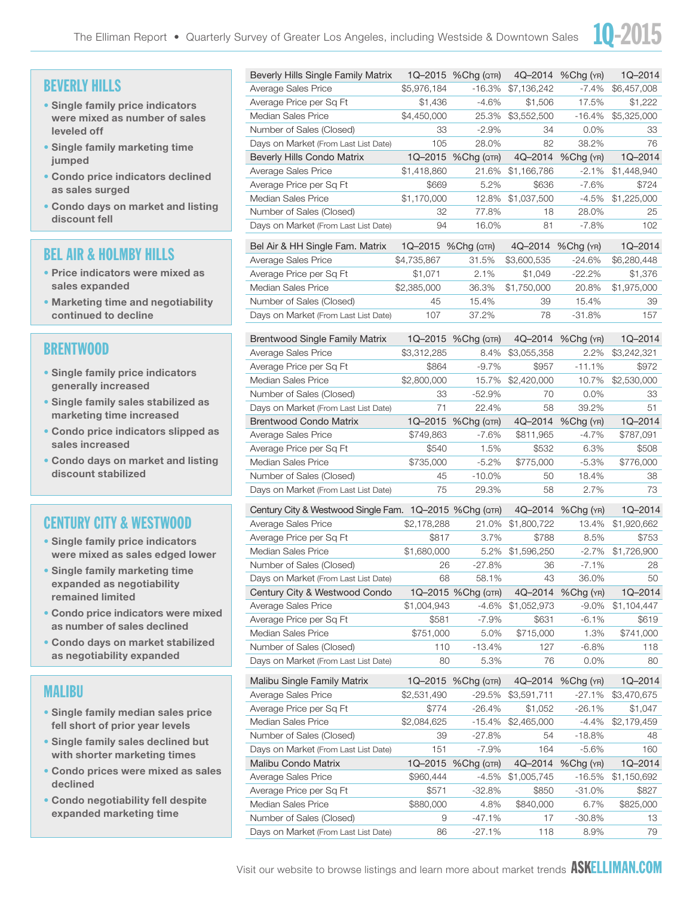

## BEVERLY HILLS

- Single family price indicators were mixed as number of sales leveled off
- Single family marketing time jumped
- Condo price indicators declined as sales surged
- Condo days on market and listing discount fell

## BEL AIR & HOLMBY HILLS

- Price indicators were mixed as sales expanded
- Marketing time and negotiability continued to decline

#### BRENTWOOD

- Single family price indicators generally increased
- Single family sales stabilized as marketing time increased
- Condo price indicators slipped as sales increased
- Condo days on market and listing discount stabilized

## CENTURY CITY & WESTWOOD

- Single family price indicators were mixed as sales edged lower
- Single family marketing time expanded as negotiability remained limited
- Condo price indicators were mixed as number of sales declined
- Condo days on market stabilized as negotiability expanded

#### MALIBU

- Single family median sales price fell short of prior year levels
- Single family sales declined but with shorter marketing times
- Condo prices were mixed as sales declined
- Condo negotiability fell despite expanded marketing time

| Beverly Hills Single Family Matrix                     |                     | 1Q-2015 %Chg (QTR)  |             | 4Q-2014 %Chg (YR) | 1Q-2014     |
|--------------------------------------------------------|---------------------|---------------------|-------------|-------------------|-------------|
| Average Sales Price                                    | \$5,976,184         | $-16.3%$            | \$7,136,242 | $-7.4\%$          | \$6,457,008 |
| Average Price per Sq Ft                                | \$1,436             | $-4.6%$             | \$1,506     | 17.5%             | \$1,222     |
| Median Sales Price                                     | \$4,450,000         | 25.3%               | \$3,552,500 | $-16.4%$          | \$5,325,000 |
| Number of Sales (Closed)                               | 33                  | $-2.9%$             | 34          | 0.0%              | 33          |
| Days on Market (From Last List Date)                   | 105                 | 28.0%               | 82          | 38.2%             | 76          |
| <b>Beverly Hills Condo Matrix</b>                      |                     | 1Q-2015 %Chg (QTR)  |             | 4Q-2014 %Chg (YR) | 1Q-2014     |
| Average Sales Price                                    | \$1,418,860         | 21.6%               | \$1,166,786 | $-2.1\%$          | \$1,448,940 |
| Average Price per Sq Ft                                | \$669               | 5.2%                | \$636       | $-7.6%$           | \$724       |
| <b>Median Sales Price</b>                              | \$1,170,000         | 12.8%               | \$1,037,500 | $-4.5%$           | \$1,225,000 |
| Number of Sales (Closed)                               | 32                  | 77.8%               | 18          | 28.0%             | 25          |
| Days on Market (From Last List Date)                   | 94                  | 16.0%               | 81          | $-7.8\%$          | 102         |
| Bel Air & HH Single Fam. Matrix                        | 1Q-2015 % Chg (QTR) |                     |             | 4Q-2014 %Chg (YR) | 1Q-2014     |
| Average Sales Price                                    | \$4,735,867         | 31.5%               | \$3,600,535 | $-24.6%$          | \$6,280,448 |
| Average Price per Sq Ft                                | \$1,071             | 2.1%                | \$1,049     | $-22.2\%$         | \$1,376     |
| <b>Median Sales Price</b>                              | \$2,385,000         | 36.3%               | \$1,750,000 | 20.8%             | \$1,975,000 |
| Number of Sales (Closed)                               | 45                  | 15.4%               | 39          | 15.4%             | 39          |
| Days on Market (From Last List Date)                   | 107                 | 37.2%               | 78          | $-31.8%$          | 157         |
| <b>Brentwood Single Family Matrix</b>                  |                     | 1Q-2015 % Chg (QTR) | 4Q-2014     | $%$ Chg $(YR)$    | 1Q–2014     |
| Average Sales Price                                    | \$3,312,285         | 8.4%                | \$3,055,358 | 2.2%              | \$3,242,321 |
| Average Price per Sq Ft                                | \$864               | $-9.7%$             | \$957       | $-11.1%$          | \$972       |
| Median Sales Price                                     | \$2,800,000         | 15.7%               | \$2,420,000 | 10.7%             | \$2,530,000 |
| Number of Sales (Closed)                               | 33                  | -52.9%              | 70          | $0.0\%$           | 33          |
| Days on Market (From Last List Date)                   | 71                  | 22.4%               | 58          | 39.2%             | 51          |
| <b>Brentwood Condo Matrix</b>                          | $1Q - 2015$         | $%$ Chg ( $QTR$ )   | 4Q-2014     | %Chg (YR)         | 1Q-2014     |
| Average Sales Price                                    | \$749,863           | $-7.6\%$            | \$811,965   | $-4.7\%$          | \$787,091   |
| Average Price per Sq Ft                                | \$540               | 1.5%                | \$532       | 6.3%              | \$508       |
| <b>Median Sales Price</b>                              | \$735,000           | $-5.2%$             | \$775,000   | $-5.3%$           | \$776,000   |
| Number of Sales (Closed)                               | 45                  | $-10.0\%$           | 50          | 18.4%             | 38          |
| Days on Market (From Last List Date)                   | 75                  | 29.3%               | 58          | 2.7%              | 73          |
|                                                        |                     |                     |             |                   |             |
| Century City & Westwood Single Fam. 1Q-2015 %Chg (QTR) |                     |                     | 4Q-2014     | $%$ Chg $(YR)$    | 1Q-2014     |
| Average Sales Price                                    | \$2,178,288         | 21.0%               | \$1,800,722 | 13.4%             | \$1,920,662 |
| Average Price per Sq Ft                                | \$817               | 3.7%                | \$788       | 8.5%              | \$753       |
| Median Sales Price                                     | \$1,680,000         | 5.2%                | \$1,596,250 | $-2.7%$           | \$1,726,900 |
| Number of Sales (Closed)                               | 26                  | $-27.8%$            | 36          | $-7.1\%$          | 28          |
| Days on Market (From Last List Date)                   | 68                  | 58.1%               | 43          | 36.0%             | 50          |
| Century City & Westwood Condo                          |                     | 1Q-2015 %Chg (QTR)  | 4Q-2014     | %Chg (YR)         | 1Q-2014     |
| Average Sales Price                                    | \$1,004,943         | $-4.6%$             | \$1,052,973 | $-9.0\%$          | \$1,104,447 |
| Average Price per Sq Ft                                | \$581               | $-7.9%$             | \$631       | $-6.1%$           | \$619       |
| Median Sales Price                                     | \$751,000           | 5.0%                | \$715,000   | 1.3%              | \$741,000   |
| Number of Sales (Closed)                               | 110                 | $-13.4%$            | 127         | $-6.8%$           | 118         |
| Days on Market (From Last List Date)                   | 80                  | 5.3%                | 76          | 0.0%              | 80          |
| Malibu Single Family Matrix                            | 1Q–2015             | %Chg (QTR)          | 4Q-2014     | %Chg (YR)         | 1Q-2014     |
| Average Sales Price                                    | \$2,531,490         | $-29.5%$            | \$3,591,711 | -27.1%            | \$3,470,675 |
| Average Price per Sq Ft                                | \$774               | $-26.4%$            | \$1,052     | $-26.1%$          | \$1,047     |
| Median Sales Price                                     | \$2,084,625         | $-15.4%$            | \$2,465,000 | $-4.4%$           | \$2,179,459 |
| Number of Sales (Closed)                               | 39                  | $-27.8%$            | 54          | $-18.8%$          | 48          |
| Days on Market (From Last List Date)                   | 151                 | $-7.9%$             | 164         | $-5.6%$           | 160         |
| Malibu Condo Matrix                                    | 1Q-2015             | %Chg (QTR)          | 4Q-2014     | %Chg (YR)         | 1Q-2014     |
| Average Sales Price                                    | \$960,444           | $-4.5%$             | \$1,005,745 | $-16.5%$          | \$1,150,692 |
| Average Price per Sq Ft                                | \$571               | $-32.8%$            | \$850       | $-31.0%$          | \$827       |
| Median Sales Price                                     | \$880,000           | 4.8%                | \$840,000   | 6.7%              | \$825,000   |
| Number of Sales (Closed)                               | 9                   | $-47.1%$            | 17          | $-30.8%$          | 13          |
| Davs on Market (From Last List Date)                   | 86                  | $-27.1\%$           | 118         | 8.9%              | 79          |